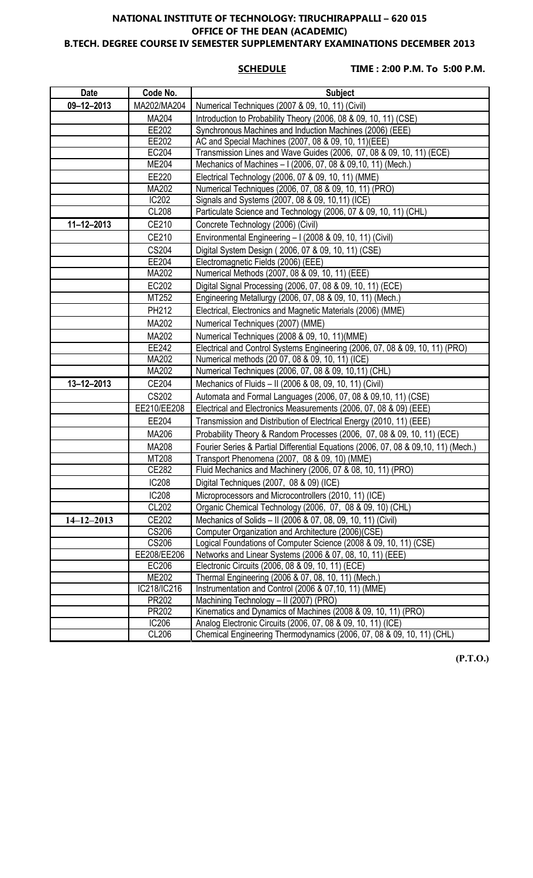#### **NATIONAL INSTITUTE OF TECHNOLOGY: TIRUCHIRAPPALLI – 620 015 OFFICE OF THE DEAN (ACADEMIC) B.TECH. DEGREE COURSE IV SEMESTER SUPPLEMENTARY EXAMINATIONS DECEMBER 2013**

**SCHEDULE TIME : 2:00 P.M. To 5:00 P.M.**

| <b>Date</b>      | Code No.     | <b>Subject</b>                                                                     |
|------------------|--------------|------------------------------------------------------------------------------------|
| $09 - 12 - 2013$ | MA202/MA204  | Numerical Techniques (2007 & 09, 10, 11) (Civil)                                   |
|                  | MA204        | Introduction to Probability Theory (2006, 08 & 09, 10, 11) (CSE)                   |
|                  | EE202        | Synchronous Machines and Induction Machines (2006) (EEE)                           |
|                  | EE202        | AC and Special Machines (2007, 08 & 09, 10, 11)(EEE)                               |
|                  | EC204        | Transmission Lines and Wave Guides (2006, 07, 08 & 09, 10, 11) (ECE)               |
|                  | <b>ME204</b> | Mechanics of Machines - I (2006, 07, 08 & 09, 10, 11) (Mech.)                      |
|                  | EE220        | Electrical Technology (2006, 07 & 09, 10, 11) (MME)                                |
|                  | MA202        | Numerical Techniques (2006, 07, 08 & 09, 10, 11) (PRO)                             |
|                  | <b>IC202</b> | Signals and Systems (2007, 08 & 09, 10,11) (ICE)                                   |
|                  | <b>CL208</b> | Particulate Science and Technology (2006, 07 & 09, 10, 11) (CHL)                   |
| $11 - 12 - 2013$ | CE210        | Concrete Technology (2006) (Civil)                                                 |
|                  | CE210        | Environmental Engineering - I (2008 & 09, 10, 11) (Civil)                          |
|                  | <b>CS204</b> | Digital System Design (2006, 07 & 09, 10, 11) (CSE)                                |
|                  | EE204        | Electromagnetic Fields (2006) (EEE)                                                |
|                  | MA202        | Numerical Methods (2007, 08 & 09, 10, 11) (EEE)                                    |
|                  | EC202        | Digital Signal Processing (2006, 07, 08 & 09, 10, 11) (ECE)                        |
|                  | MT252        | Engineering Metallurgy (2006, 07, 08 & 09, 10, 11) (Mech.)                         |
|                  | PH212        | Electrical, Electronics and Magnetic Materials (2006) (MME)                        |
|                  | MA202        | Numerical Techniques (2007) (MME)                                                  |
|                  | MA202        | Numerical Techniques (2008 & 09, 10, 11) (MME)                                     |
|                  | EE242        | Electrical and Control Systems Engineering (2006, 07, 08 & 09, 10, 11) (PRO)       |
|                  | MA202        | Numerical methods (20 07, 08 & 09, 10, 11) (ICE)                                   |
|                  | MA202        | Numerical Techniques (2006, 07, 08 & 09, 10,11) (CHL)                              |
| $13 - 12 - 2013$ | CE204        | Mechanics of Fluids - II (2006 & 08, 09, 10, 11) (Civil)                           |
|                  | <b>CS202</b> | Automata and Formal Languages (2006, 07, 08 & 09,10, 11) (CSE)                     |
|                  | EE210/EE208  | Electrical and Electronics Measurements (2006, 07, 08 & 09) (EEE)                  |
|                  | EE204        | Transmission and Distribution of Electrical Energy (2010, 11) (EEE)                |
|                  | MA206        | Probability Theory & Random Processes (2006, 07, 08 & 09, 10, 11) (ECE)            |
|                  | MA208        | Fourier Series & Partial Differential Equations (2006, 07, 08 & 09,10, 11) (Mech.) |
|                  | MT208        | Transport Phenomena (2007, 08 & 09, 10) (MME)                                      |
|                  | CE282        | Fluid Mechanics and Machinery (2006, 07 & 08, 10, 11) (PRO)                        |
|                  | <b>IC208</b> | Digital Techniques (2007, 08 & 09) (ICE)                                           |
|                  | <b>IC208</b> | Microprocessors and Microcontrollers (2010, 11) (ICE)                              |
|                  | <b>CL202</b> | Organic Chemical Technology (2006, 07, 08 & 09, 10) (CHL)                          |
| $14 - 12 - 2013$ | CE202        | Mechanics of Solids - II (2006 & 07, 08, 09, 10, 11) (Civil)                       |
|                  | CS206        | Computer Organization and Architecture (2006)(CSE)                                 |
|                  | CS206        | Logical Foundations of Computer Science (2008 & 09, 10, 11) (CSE)                  |
|                  | EE208/EE206  | Networks and Linear Systems (2006 & 07, 08, 10, 11) (EEE)                          |
|                  | EC206        | Electronic Circuits (2006, 08 & 09, 10, 11) (ECE)                                  |
|                  | <b>ME202</b> | Thermal Engineering (2006 & 07, 08, 10, 11) (Mech.)                                |
|                  | IC218/IC216  | Instrumentation and Control (2006 & 07,10, 11) (MME)                               |
|                  | PR202        | Machining Technology - II (2007) (PRO)                                             |
|                  | PR202        | Kinematics and Dynamics of Machines (2008 & 09, 10, 11) (PRO)                      |
|                  | IC206        | Analog Electronic Circuits (2006, 07, 08 & 09, 10, 11) (ICE)                       |
|                  | CL206        | Chemical Engineering Thermodynamics (2006, 07, 08 & 09, 10, 11) (CHL)              |

**(P.T.O.)**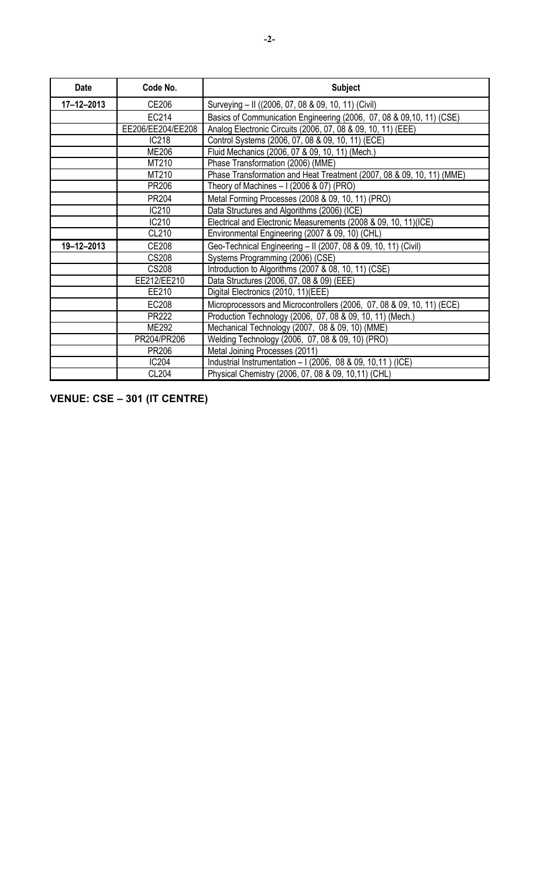| <b>Date</b>      | Code No.          | <b>Subject</b>                                                         |
|------------------|-------------------|------------------------------------------------------------------------|
| $17 - 12 - 2013$ | CE206             | Surveying - II ((2006, 07, 08 & 09, 10, 11) (Civil)                    |
|                  | EC214             | Basics of Communication Engineering (2006, 07, 08 & 09,10, 11) (CSE)   |
|                  | EE206/EE204/EE208 | Analog Electronic Circuits (2006, 07, 08 & 09, 10, 11) (EEE)           |
|                  | IC218             | Control Systems (2006, 07, 08 & 09, 10, 11) (ECE)                      |
|                  | <b>ME206</b>      | Fluid Mechanics (2006, 07 & 09, 10, 11) (Mech.)                        |
|                  | MT210             | Phase Transformation (2006) (MME)                                      |
|                  | MT210             | Phase Transformation and Heat Treatment (2007, 08 & 09, 10, 11) (MME)  |
|                  | PR206             | Theory of Machines $-1(2006 \& 07)$ (PRO)                              |
|                  | PR204             | Metal Forming Processes (2008 & 09, 10, 11) (PRO)                      |
|                  | IC210             | Data Structures and Algorithms (2006) (ICE)                            |
|                  | IC210             | Electrical and Electronic Measurements (2008 & 09, 10, 11)(ICE)        |
|                  | CL210             | Environmental Engineering (2007 & 09, 10) (CHL)                        |
| 19-12-2013       | CE208             | Geo-Technical Engineering - II (2007, 08 & 09, 10, 11) (Civil)         |
|                  | <b>CS208</b>      | Systems Programming (2006) (CSE)                                       |
|                  | <b>CS208</b>      | Introduction to Algorithms (2007 & 08, 10, 11) (CSE)                   |
|                  | EE212/EE210       | Data Structures (2006, 07, 08 & 09) (EEE)                              |
|                  | EE210             | Digital Electronics (2010, 11)(EEE)                                    |
|                  | EC208             | Microprocessors and Microcontrollers (2006, 07, 08 & 09, 10, 11) (ECE) |
|                  | PR222             | Production Technology (2006, 07, 08 & 09, 10, 11) (Mech.)              |
|                  | <b>ME292</b>      | Mechanical Technology (2007, 08 & 09, 10) (MME)                        |
|                  | PR204/PR206       | Welding Technology (2006, 07, 08 & 09, 10) (PRO)                       |
|                  | PR206             | Metal Joining Processes (2011)                                         |
|                  | IC204             | Industrial Instrumentation - I (2006, 08 & 09, 10,11) (ICE)            |
|                  | CL204             | Physical Chemistry (2006, 07, 08 & 09, 10,11) (CHL)                    |

**VENUE: CSE – 301 (IT CENTRE)**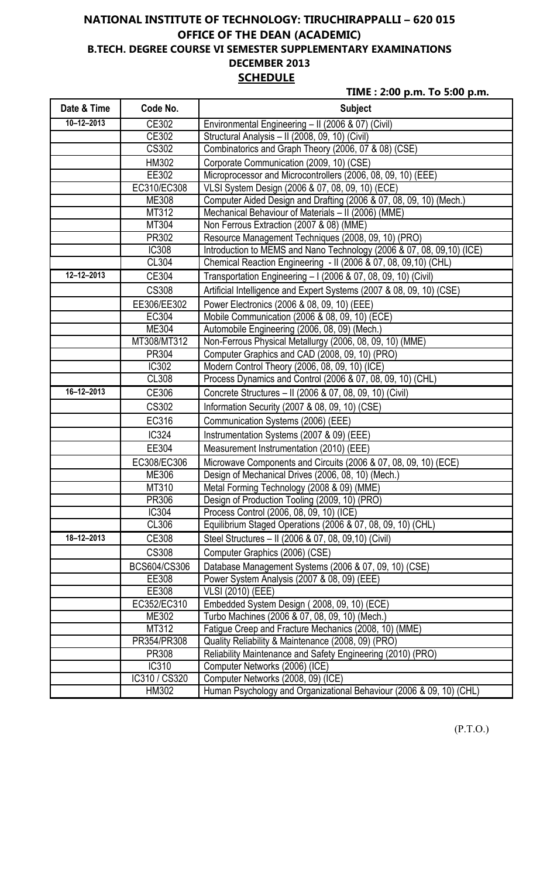# **NATIONAL INSTITUTE OF TECHNOLOGY: TIRUCHIRAPPALLI – 620 015 OFFICE OF THE DEAN (ACADEMIC) B.TECH. DEGREE COURSE VI SEMESTER SUPPLEMENTARY EXAMINATIONS DECEMBER 2013 SCHEDULE**

**TIME : 2:00 p.m. To 5:00 p.m.**

| Date & Time      | Code No.      | <b>Subject</b>                                                         |
|------------------|---------------|------------------------------------------------------------------------|
| $10 - 12 - 2013$ | CE302         | Environmental Engineering - II (2006 & 07) (Civil)                     |
|                  | CE302         | Structural Analysis - II (2008, 09, 10) (Civil)                        |
|                  | <b>CS302</b>  | Combinatorics and Graph Theory (2006, 07 & 08) (CSE)                   |
|                  | HM302         | Corporate Communication (2009, 10) (CSE)                               |
|                  | EE302         | Microprocessor and Microcontrollers (2006, 08, 09, 10) (EEE)           |
|                  | EC310/EC308   | VLSI System Design (2006 & 07, 08, 09, 10) (ECE)                       |
|                  | ME308         | Computer Aided Design and Drafting (2006 & 07, 08, 09, 10) (Mech.)     |
|                  | MT312         | Mechanical Behaviour of Materials - II (2006) (MME)                    |
|                  | MT304         | Non Ferrous Extraction (2007 & 08) (MME)                               |
|                  | PR302         | Resource Management Techniques (2008, 09, 10) (PRO)                    |
|                  | <b>IC308</b>  | Introduction to MEMS and Nano Technology (2006 & 07, 08, 09, 10) (ICE) |
|                  | CL304         | Chemical Reaction Engineering - II (2006 & 07, 08, 09, 10) (CHL)       |
| $12 - 12 - 2013$ | CE304         | Transportation Engineering - I (2006 & 07, 08, 09, 10) (Civil)         |
|                  | <b>CS308</b>  | Artificial Intelligence and Expert Systems (2007 & 08, 09, 10) (CSE)   |
|                  | EE306/EE302   | Power Electronics (2006 & 08, 09, 10) (EEE)                            |
|                  | EC304         | Mobile Communication (2006 & 08, 09, 10) (ECE)                         |
|                  | ME304         | Automobile Engineering (2006, 08, 09) (Mech.)                          |
|                  | MT308/MT312   | Non-Ferrous Physical Metallurgy (2006, 08, 09, 10) (MME)               |
|                  | PR304         | Computer Graphics and CAD (2008, 09, 10) (PRO)                         |
|                  | IC302         | Modern Control Theory (2006, 08, 09, 10) (ICE)                         |
|                  | CL308         | Process Dynamics and Control (2006 & 07, 08, 09, 10) (CHL)             |
| $16 - 12 - 2013$ | CE306         | Concrete Structures - II (2006 & 07, 08, 09, 10) (Civil)               |
|                  | <b>CS302</b>  | Information Security (2007 & 08, 09, 10) (CSE)                         |
|                  | EC316         | Communication Systems (2006) (EEE)                                     |
|                  | IC324         | Instrumentation Systems (2007 & 09) (EEE)                              |
|                  | EE304         | Measurement Instrumentation (2010) (EEE)                               |
|                  | EC308/EC306   | Microwave Components and Circuits (2006 & 07, 08, 09, 10) (ECE)        |
|                  | <b>ME306</b>  | Design of Mechanical Drives (2006, 08, 10) (Mech.)                     |
|                  | MT310         | Metal Forming Technology (2008 & 09) (MME)                             |
|                  | PR306         | Design of Production Tooling (2009, 10) (PRO)                          |
|                  | <b>IC304</b>  | Process Control (2006, 08, 09, 10) (ICE)                               |
|                  | CL306         | Equilibrium Staged Operations (2006 & 07, 08, 09, 10) (CHL)            |
| 18-12-2013       | CE308         | Steel Structures - II (2006 & 07, 08, 09, 10) (Civil)                  |
|                  | <b>CS308</b>  | Computer Graphics (2006) (CSE)                                         |
|                  | BCS604/CS306  | Database Management Systems (2006 & 07, 09, 10) (CSE)                  |
|                  | EE308         | Power System Analysis (2007 & 08, 09) (EEE)                            |
|                  | EE308         | <b>VLSI (2010) (EEE)</b>                                               |
|                  | EC352/EC310   | Embedded System Design (2008, 09, 10) (ECE)                            |
|                  | ME302         | Turbo Machines (2006 & 07, 08, 09, 10) (Mech.)                         |
|                  | MT312         | Fatigue Creep and Fracture Mechanics (2008, 10) (MME)                  |
|                  | PR354/PR308   | Quality Reliability & Maintenance (2008, 09) (PRO)                     |
|                  | PR308         | Reliability Maintenance and Safety Engineering (2010) (PRO)            |
|                  | IC310         | Computer Networks (2006) (ICE)                                         |
|                  | IC310 / CS320 | Computer Networks (2008, 09) (ICE)                                     |
|                  | HM302         | Human Psychology and Organizational Behaviour (2006 & 09, 10) (CHL)    |

(P.T.O.)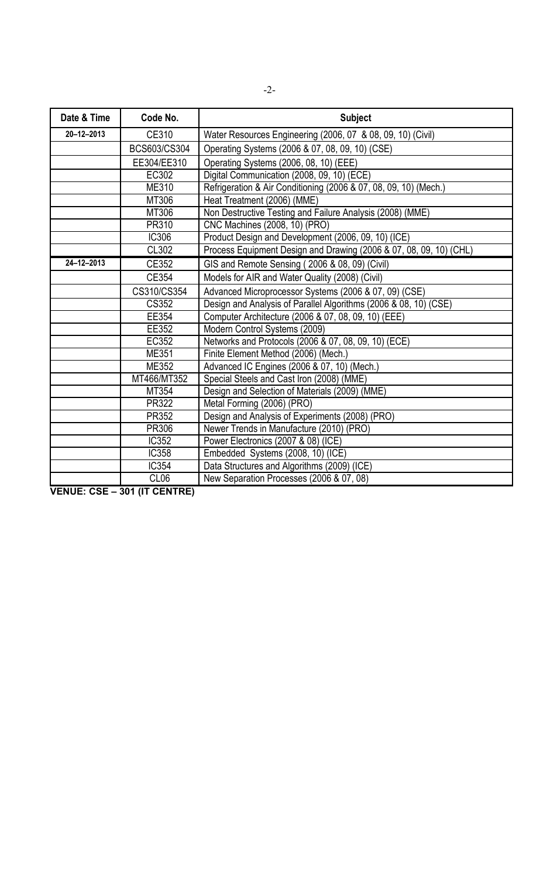| Date & Time      | Code No.         | <b>Subject</b>                                                     |
|------------------|------------------|--------------------------------------------------------------------|
| $20 - 12 - 2013$ | CE310            | Water Resources Engineering (2006, 07 & 08, 09, 10) (Civil)        |
|                  | BCS603/CS304     | Operating Systems (2006 & 07, 08, 09, 10) (CSE)                    |
|                  | EE304/EE310      | Operating Systems (2006, 08, 10) (EEE)                             |
|                  | EC302            | Digital Communication (2008, 09, 10) (ECE)                         |
|                  | ME310            | Refrigeration & Air Conditioning (2006 & 07, 08, 09, 10) (Mech.)   |
|                  | MT306            | Heat Treatment (2006) (MME)                                        |
|                  | MT306            | Non Destructive Testing and Failure Analysis (2008) (MME)          |
|                  | PR310            | CNC Machines (2008, 10) (PRO)                                      |
|                  | <b>IC306</b>     | Product Design and Development (2006, 09, 10) (ICE)                |
|                  | CL302            | Process Equipment Design and Drawing (2006 & 07, 08, 09, 10) (CHL) |
| $24 - 12 - 2013$ | CE352            | GIS and Remote Sensing (2006 & 08, 09) (Civil)                     |
|                  | CE354            | Models for AIR and Water Quality (2008) (Civil)                    |
|                  | CS310/CS354      | Advanced Microprocessor Systems (2006 & 07, 09) (CSE)              |
|                  | <b>CS352</b>     | Design and Analysis of Parallel Algorithms (2006 & 08, 10) (CSE)   |
|                  | EE354            | Computer Architecture (2006 & 07, 08, 09, 10) (EEE)                |
|                  | EE352            | Modern Control Systems (2009)                                      |
|                  | EC352            | Networks and Protocols (2006 & 07, 08, 09, 10) (ECE)               |
|                  | <b>ME351</b>     | Finite Element Method (2006) (Mech.)                               |
|                  | ME352            | Advanced IC Engines (2006 & 07, 10) (Mech.)                        |
|                  | MT466/MT352      | Special Steels and Cast Iron (2008) (MME)                          |
|                  | MT354            | Design and Selection of Materials (2009) (MME)                     |
|                  | PR322            | Metal Forming (2006) (PRO)                                         |
|                  | PR352            | Design and Analysis of Experiments (2008) (PRO)                    |
|                  | PR306            | Newer Trends in Manufacture (2010) (PRO)                           |
|                  | <b>IC352</b>     | Power Electronics (2007 & 08) (ICE)                                |
|                  | <b>IC358</b>     | Embedded Systems (2008, 10) (ICE)                                  |
|                  | <b>IC354</b>     | Data Structures and Algorithms (2009) (ICE)                        |
|                  | CL <sub>06</sub> | New Separation Processes (2006 & 07, 08)                           |

**VENUE: CSE – 301 (IT CENTRE)**